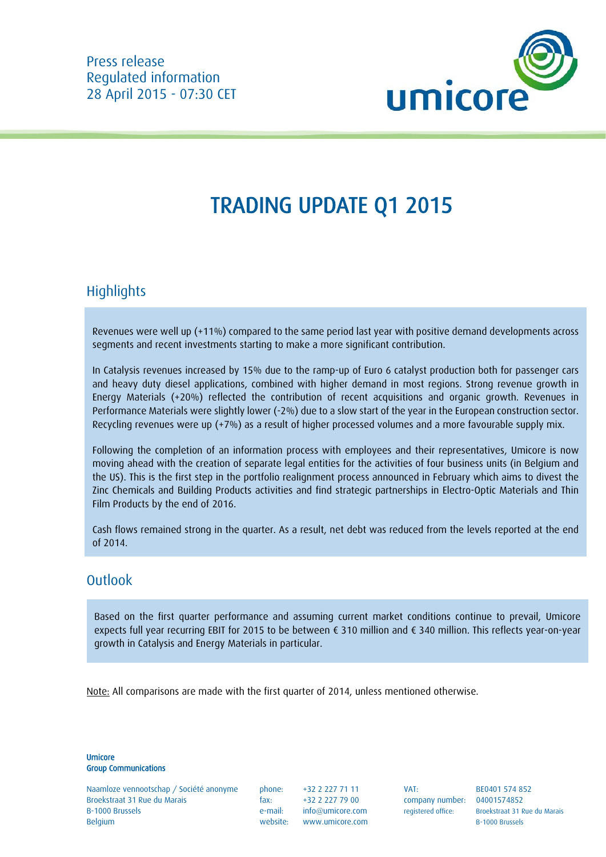

# TRADING UPDATE Q1 2015

# **Highlights**

Revenues were well up (+11%) compared to the same period last year with positive demand developments across segments and recent investments starting to make a more significant contribution.

In Catalysis revenues increased by 15% due to the ramp-up of Euro 6 catalyst production both for passenger cars and heavy duty diesel applications, combined with higher demand in most regions. Strong revenue growth in Energy Materials (+20%) reflected the contribution of recent acquisitions and organic growth. Revenues in Performance Materials were slightly lower (-2%) due to a slow start of the year in the European construction sector. Recycling revenues were up (+7%) as a result of higher processed volumes and a more favourable supply mix.

Following the completion of an information process with employees and their representatives, Umicore is now moving ahead with the creation of separate legal entities for the activities of four business units (in Belgium and the US). This is the first step in the portfolio realignment process announced in February which aims to divest the Zinc Chemicals and Building Products activities and find strategic partnerships in Electro-Optic Materials and Thin Film Products by the end of 2016.

Cash flows remained strong in the quarter. As a result, net debt was reduced from the levels reported at the end of 2014.

#### **Outlook**

Based on the first quarter performance and assuming current market conditions continue to prevail, Umicore expects full year recurring EBIT for 2015 to be between € 310 million and € 340 million. This reflects year-on-year growth in Catalysis and Energy Materials in particular.

Note: All comparisons are made with the first quarter of 2014, unless mentioned otherwise.

Umicore Group Communications

Naamloze vennootschap / Société anonyme phone: +32 2 227 71 11 VAT: BE0401 574 852 Broekstraat 31 Rue du Marais fax: +32 2 227 79 00 company number: 04001574852 B-1000 Brussels e-mail: info@umicore.com registered office: Broekstraat 31 Rue du Marais Belgium Belgium Belgium website: www.umicore.com B-1000 Brussels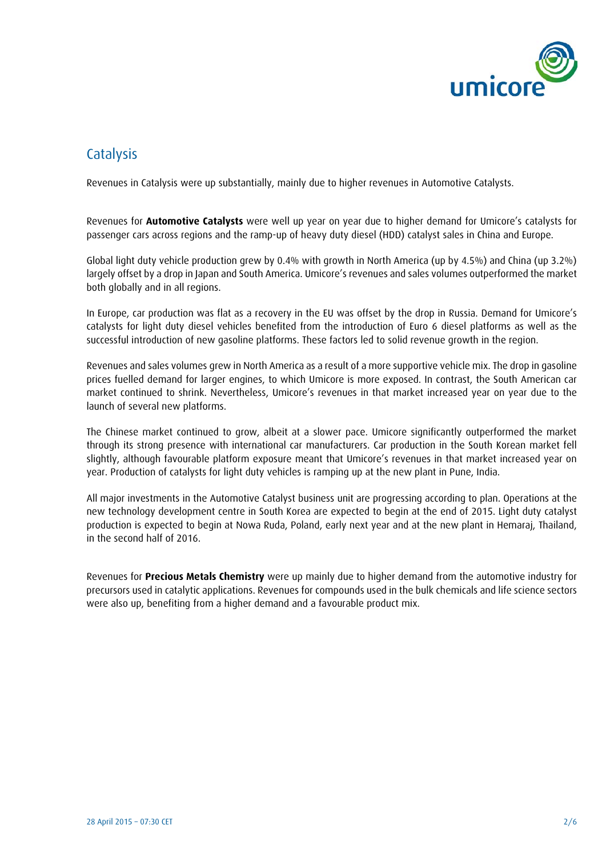

## **Catalysis**

Revenues in Catalysis were up substantially, mainly due to higher revenues in Automotive Catalysts.

Revenues for **Automotive Catalysts** were well up year on year due to higher demand for Umicore's catalysts for passenger cars across regions and the ramp-up of heavy duty diesel (HDD) catalyst sales in China and Europe.

Global light duty vehicle production grew by 0.4% with growth in North America (up by 4.5%) and China (up 3.2%) largely offset by a drop in Japan and South America. Umicore's revenues and sales volumes outperformed the market both globally and in all regions.

In Europe, car production was flat as a recovery in the EU was offset by the drop in Russia. Demand for Umicore's catalysts for light duty diesel vehicles benefited from the introduction of Euro 6 diesel platforms as well as the successful introduction of new gasoline platforms. These factors led to solid revenue growth in the region.

Revenues and sales volumes grew in North America as a result of a more supportive vehicle mix. The drop in gasoline prices fuelled demand for larger engines, to which Umicore is more exposed. In contrast, the South American car market continued to shrink. Nevertheless, Umicore's revenues in that market increased year on year due to the launch of several new platforms.

The Chinese market continued to grow, albeit at a slower pace. Umicore significantly outperformed the market through its strong presence with international car manufacturers. Car production in the South Korean market fell slightly, although favourable platform exposure meant that Umicore's revenues in that market increased year on year. Production of catalysts for light duty vehicles is ramping up at the new plant in Pune, India.

All major investments in the Automotive Catalyst business unit are progressing according to plan. Operations at the new technology development centre in South Korea are expected to begin at the end of 2015. Light duty catalyst production is expected to begin at Nowa Ruda, Poland, early next year and at the new plant in Hemaraj, Thailand, in the second half of 2016.

Revenues for **Precious Metals Chemistry** were up mainly due to higher demand from the automotive industry for precursors used in catalytic applications. Revenues for compounds used in the bulk chemicals and life science sectors were also up, benefiting from a higher demand and a favourable product mix.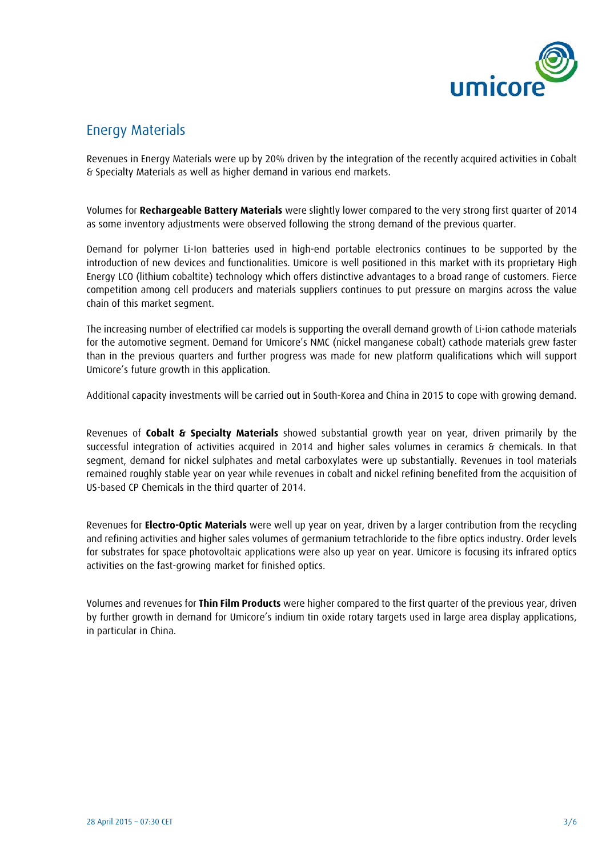

### Energy Materials

Revenues in Energy Materials were up by 20% driven by the integration of the recently acquired activities in Cobalt & Specialty Materials as well as higher demand in various end markets.

Volumes for **Rechargeable Battery Materials** were slightly lower compared to the very strong first quarter of 2014 as some inventory adjustments were observed following the strong demand of the previous quarter.

Demand for polymer Li-Ion batteries used in high-end portable electronics continues to be supported by the introduction of new devices and functionalities. Umicore is well positioned in this market with its proprietary High Energy LCO (lithium cobaltite) technology which offers distinctive advantages to a broad range of customers. Fierce competition among cell producers and materials suppliers continues to put pressure on margins across the value chain of this market segment.

The increasing number of electrified car models is supporting the overall demand growth of Li-ion cathode materials for the automotive segment. Demand for Umicore's NMC (nickel manganese cobalt) cathode materials grew faster than in the previous quarters and further progress was made for new platform qualifications which will support Umicore's future growth in this application.

Additional capacity investments will be carried out in South-Korea and China in 2015 to cope with growing demand.

Revenues of **Cobalt & Specialty Materials** showed substantial growth year on year, driven primarily by the successful integration of activities acquired in 2014 and higher sales volumes in ceramics & chemicals. In that segment, demand for nickel sulphates and metal carboxylates were up substantially. Revenues in tool materials remained roughly stable year on year while revenues in cobalt and nickel refining benefited from the acquisition of US-based CP Chemicals in the third quarter of 2014.

Revenues for **Electro-Optic Materials** were well up year on year, driven by a larger contribution from the recycling and refining activities and higher sales volumes of germanium tetrachloride to the fibre optics industry. Order levels for substrates for space photovoltaic applications were also up year on year. Umicore is focusing its infrared optics activities on the fast-growing market for finished optics.

Volumes and revenues for **Thin Film Products** were higher compared to the first quarter of the previous year, driven by further growth in demand for Umicore's indium tin oxide rotary targets used in large area display applications, in particular in China.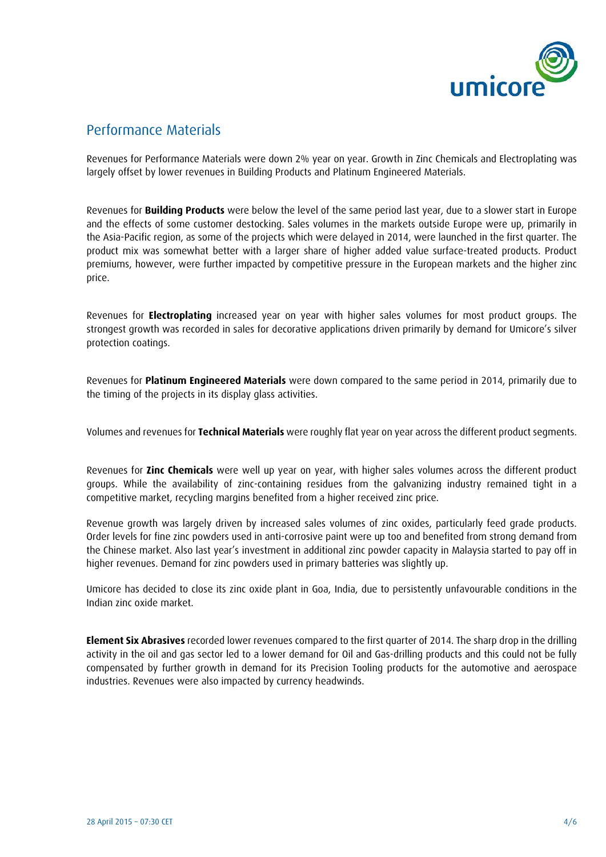

#### Performance Materials

Revenues for Performance Materials were down 2% year on year. Growth in Zinc Chemicals and Electroplating was largely offset by lower revenues in Building Products and Platinum Engineered Materials.

Revenues for **Building Products** were below the level of the same period last year, due to a slower start in Europe and the effects of some customer destocking. Sales volumes in the markets outside Europe were up, primarily in the Asia-Pacific region, as some of the projects which were delayed in 2014, were launched in the first quarter. The product mix was somewhat better with a larger share of higher added value surface-treated products. Product premiums, however, were further impacted by competitive pressure in the European markets and the higher zinc price.

Revenues for **Electroplating** increased year on year with higher sales volumes for most product groups. The strongest growth was recorded in sales for decorative applications driven primarily by demand for Umicore's silver protection coatings.

Revenues for **Platinum Engineered Materials** were down compared to the same period in 2014, primarily due to the timing of the projects in its display glass activities.

Volumes and revenues for **Technical Materials** were roughly flat year on year across the different product segments.

Revenues for **Zinc Chemicals** were well up year on year, with higher sales volumes across the different product groups. While the availability of zinc-containing residues from the galvanizing industry remained tight in a competitive market, recycling margins benefited from a higher received zinc price.

Revenue growth was largely driven by increased sales volumes of zinc oxides, particularly feed grade products. Order levels for fine zinc powders used in anti-corrosive paint were up too and benefited from strong demand from the Chinese market. Also last year's investment in additional zinc powder capacity in Malaysia started to pay off in higher revenues. Demand for zinc powders used in primary batteries was slightly up.

Umicore has decided to close its zinc oxide plant in Goa, India, due to persistently unfavourable conditions in the Indian zinc oxide market.

**Element Six Abrasives** recorded lower revenues compared to the first quarter of 2014. The sharp drop in the drilling activity in the oil and gas sector led to a lower demand for Oil and Gas-drilling products and this could not be fully compensated by further growth in demand for its Precision Tooling products for the automotive and aerospace industries. Revenues were also impacted by currency headwinds.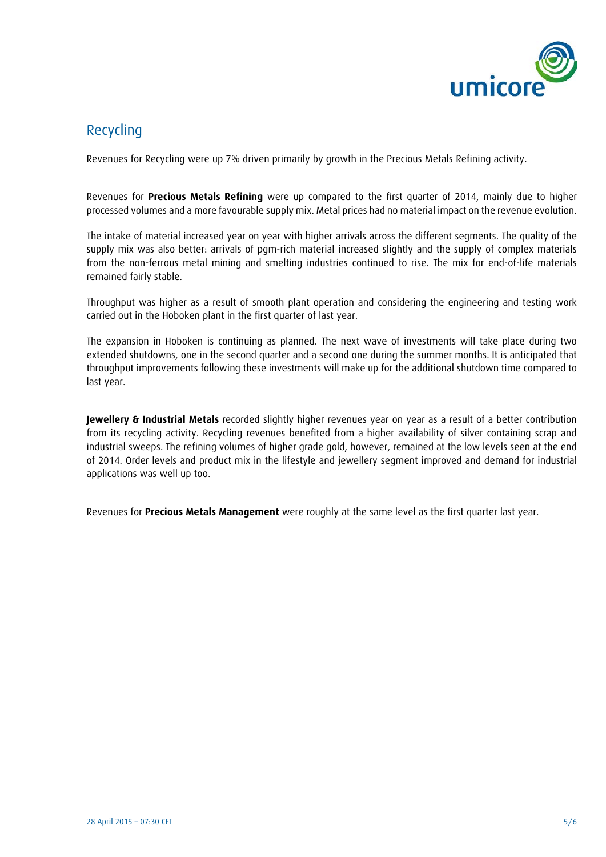

### Recycling

Revenues for Recycling were up 7% driven primarily by growth in the Precious Metals Refining activity.

Revenues for **Precious Metals Refining** were up compared to the first quarter of 2014, mainly due to higher processed volumes and a more favourable supply mix. Metal prices had no material impact on the revenue evolution.

The intake of material increased year on year with higher arrivals across the different segments. The quality of the supply mix was also better: arrivals of pgm-rich material increased slightly and the supply of complex materials from the non-ferrous metal mining and smelting industries continued to rise. The mix for end-of-life materials remained fairly stable.

Throughput was higher as a result of smooth plant operation and considering the engineering and testing work carried out in the Hoboken plant in the first quarter of last year.

The expansion in Hoboken is continuing as planned. The next wave of investments will take place during two extended shutdowns, one in the second quarter and a second one during the summer months. It is anticipated that throughput improvements following these investments will make up for the additional shutdown time compared to last year.

**Jewellery & Industrial Metals** recorded slightly higher revenues year on year as a result of a better contribution from its recycling activity. Recycling revenues benefited from a higher availability of silver containing scrap and industrial sweeps. The refining volumes of higher grade gold, however, remained at the low levels seen at the end of 2014. Order levels and product mix in the lifestyle and jewellery segment improved and demand for industrial applications was well up too.

Revenues for **Precious Metals Management** were roughly at the same level as the first quarter last year.